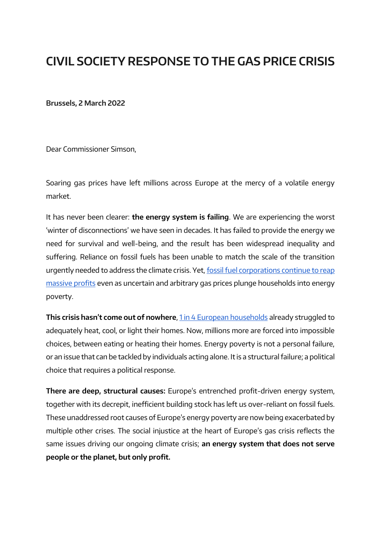# **CIVIL SOCIETY RESPONSE TO THE GAS PRICE CRISIS**

**Brussels, 2 March 2022**

Dear Commissioner Simson,

Soaring gas prices have left millions across Europe at the mercy of a volatile energy market.

It has never been clearer: **the energy system is failing**. We are experiencing the worst 'winter of disconnections' we have seen in decades. It has failed to provide the energy we need for survival and well-being, and the result has been widespread inequality and suffering. Reliance on fossil fuels has been unable to match the scale of the transition urgently needed to address the climate crisis. Yet[,](https://www.globalwitness.org/en/campaigns/fossil-gas/big-gas-profits/) [fossil fuel corporations continue to reap](https://www.globalwitness.org/en/campaigns/fossil-gas/big-gas-profits/)  [massive profits](https://www.globalwitness.org/en/campaigns/fossil-gas/big-gas-profits/) even as uncertain and arbitrary gas prices plunge households into energy poverty.

**This crisis hasn't come out of nowhere**[,](https://righttoenergy.org/about-energy-poverty/) [1 in 4 European households](https://righttoenergy.org/about-energy-poverty/) already struggled to adequately heat, cool, or light their homes. Now, millions more are forced into impossible choices, between eating or heating their homes. Energy poverty is not a personal failure, or an issue that can be tackled by individuals acting alone. It is a structural failure; a political choice that requires a political response.

**There are deep, structural causes:** Europe's entrenched profit-driven energy system, together with its decrepit, inefficient building stock has left us over-reliant on fossil fuels. These unaddressed root causes of Europe's energy poverty are now being exacerbated by multiple other crises. The social injustice at the heart of Europe's gas crisis reflects the same issues driving our ongoing climate crisis; **an energy system that does not serve people or the planet, but only profit.**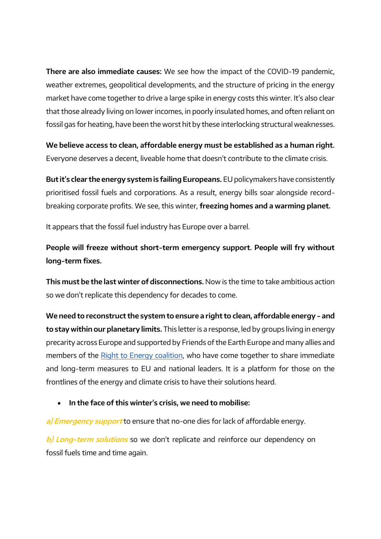**There are also immediate causes:** We see how the impact of the COVID-19 pandemic, weather extremes, geopolitical developments, and the structure of pricing in the energy market have come together to drive a large spike in energy costs this winter. It's also clear that those already living on lower incomes, in poorly insulated homes, and often reliant on fossil gas for heating, have been the worst hit by these interlocking structural weaknesses.

**We believe access to clean, affordable energy must be established as a human right.** Everyone deserves a decent, liveable home that doesn't contribute to the climate crisis.

**But it's clear the energy system is failing Europeans.** EU policymakers have consistently prioritised fossil fuels and corporations. As a result, energy bills soar alongside recordbreaking corporate profits. We see, this winter, **freezing homes and a warming planet.**

It appears that the fossil fuel industry has Europe over a barrel.

**People will freeze without short-term emergency support. People will fry without long-term fixes.**

**This must be the last winter of disconnections.** Now is the time to take ambitious action so we don't replicate this dependency for decades to come.

**We need to reconstruct the system to ensure a right to clean, affordable energy - and to stay within our planetary limits.** This letter is a response, led by groups living in energy precarity across Europe and supported by Friends of the Earth Europe and many allies and members of the [Right to Energy coalition,](https://righttoenergy.org/about) who have come together to share immediate and long-term measures to EU and national leaders. It is a platform for those on the frontlines of the energy and climate crisis to have their solutions heard.

• **In the face of this winter's crisis, we need to mobilise:**

**a) Emergency support** to ensure that no-one dies for lack of affordable energy.

**b) Long-term solutions** so we don't replicate and reinforce our dependency on fossil fuels time and time again.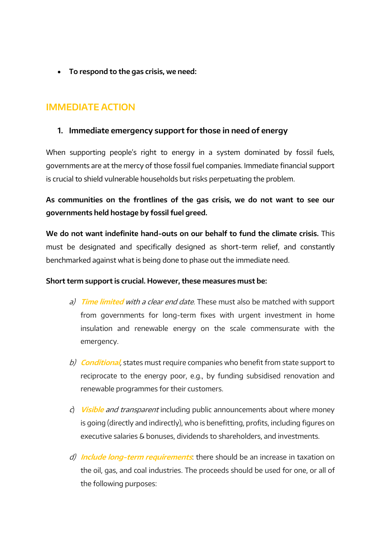• **To respond to the gas crisis, we need:**

# **IMMEDIATE ACTION**

#### **1. Immediate emergency support for those in need of energy**

When supporting people's right to energy in a system dominated by fossil fuels, governments are at the mercy of those fossil fuel companies. Immediate financial support is crucial to shield vulnerable households but risks perpetuating the problem.

**As communities on the frontlines of the gas crisis, we do not want to see our governments held hostage by fossil fuel greed.** 

**We do not want indefinite hand-outs on our behalf to fund the climate crisis.** This must be designated and specifically designed as short-term relief, and constantly benchmarked against what is being done to phase out the immediate need.

#### **Short term support is crucial. However, these measures must be:**

- a) **Time limited** with a clear end date. These must also be matched with support from governments for long-term fixes with urgent investment in home insulation and renewable energy on the scale commensurate with the emergency.
- b) **Conditional**, states must require companies who benefit from state support to reciprocate to the energy poor, e.g., by funding subsidised renovation and renewable programmes for their customers.
- <sup>c</sup>) **Visible** and transparent including public announcements about where money is going (directly and indirectly), who is benefitting, profits, including figures on executive salaries & bonuses, dividends to shareholders, and investments.
- d) **Include long-term requirements**: there should be an increase in taxation on the oil, gas, and coal industries. The proceeds should be used for one, or all of the following purposes: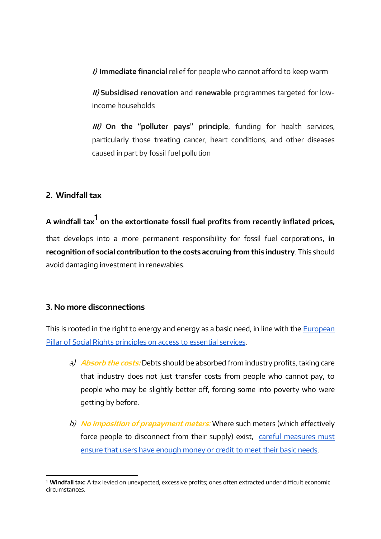**I) Immediate financial** relief for people who cannot afford to keep warm

**II) Subsidised renovation** and **renewable** programmes targeted for lowincome households

**III) On the "polluter pays" principle**, funding for health services, particularly those treating cancer, heart conditions, and other diseases caused in part by fossil fuel pollution

#### **2. Windfall tax**

**A windfall tax<sup>1</sup> on the extortionate fossil fuel profits from recently inflated prices,** that develops into a more permanent responsibility for fossil fuel corporations, **in recognition of social contribution to the costs accruing from this industry**. This should avoid damaging investment in renewables.

#### **3. No more disconnections**

This is root[e](https://ec.europa.eu/info/strategy/priorities-2019-2024/economy-works-people/jobs-growth-and-investment/european-pillar-social-rights/european-pillar-social-rights-20-principles_en)d in the right to energy and energy as a basic need, in line with the **European** [Pillar of Social Rights principles on access to essential services.](https://ec.europa.eu/info/strategy/priorities-2019-2024/economy-works-people/jobs-growth-and-investment/european-pillar-social-rights/european-pillar-social-rights-20-principles_en)

- a)**Absorb the costs:** Debts should be absorbed from industry profits, taking care that industry does not just transfer costs from people who cannot pay, to people who may be slightly better off, forcing some into poverty who were getting by before.
- b)**No imposition of prepayment meters**: Where such meters (which effectively force people to disconnect from their supply) exist, careful measures must [ensure that users have enough money or credit to meet their basic needs.](https://righttoenergy.org/2021/03/31/35000-families-freed-from-energy-bill-debts-in-catalonia/)

<sup>1</sup> **Windfall tax:** A tax levied on unexpected, excessive profits; ones often extracted under difficult economic circumstances.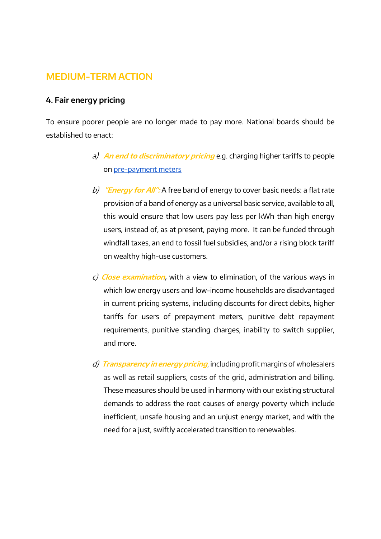# **MEDIUM-TERM ACTION**

#### **4. Fair energy pricing**

To ensure poorer people are no longer made to pay more. National boards should be established to enact:

- a) **An end to discriminatory pricing** e.g. charging higher tariffs to people o[n](https://righttoenergy.org/2020/05/28/whos-to-pay-splitting-the-bill-for-a-just-energy-transition-2/) [pre-payment meters](https://righttoenergy.org/2020/05/28/whos-to-pay-splitting-the-bill-for-a-just-energy-transition-2/)
- b) **"Energy for All":** A free band of energy to cover basic needs: a flat rate provision of a band of energy as a universal basic service, available to all, this would ensure that low users pay less per kWh than high energy users, instead of, as at present, paying more. It can be funded through windfall taxes, an end to fossil fuel subsidies, and/or a rising block tariff on wealthy high-use customers.
- c) **Close examination,** with a view to elimination, of the various ways in which low energy users and low-income households are disadvantaged in current pricing systems, including discounts for direct debits, higher tariffs for users of prepayment meters, punitive debt repayment requirements, punitive standing charges, inability to switch supplier, and more.
- d) **Transparency in energy pricing**, including profit margins of wholesalers as well as retail suppliers, costs of the grid, administration and billing. These measures should be used in harmony with our existing structural demands to address the root causes of energy poverty which include inefficient, unsafe housing and an unjust energy market, and with the need for a just, swiftly accelerated transition to renewables.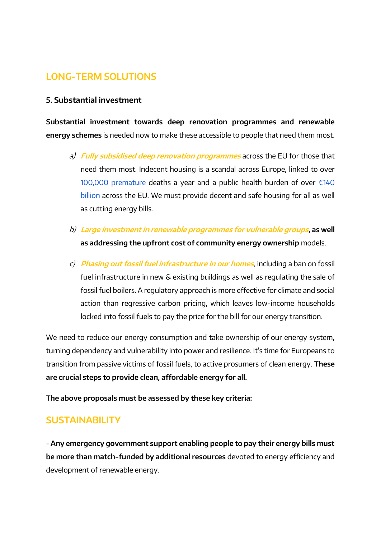# **LONG-TERM SOLUTIONS**

#### **5. Substantial investment**

**Substantial investment towards deep renovation programmes and renewable energy schemes** is needed now to make these accessible to people that need them most.

- a)**Fully subsidised deep renovation programmes** across the EU for those that need them most. Indecent housing is a scandal across Europe, linked to ove[r](https://www.euro.who.int/en/media-centre/sections/press-releases/2011/06/new-evidence-from-who-inadequate-housing-causes-more-than-100-000-annual-deaths-in-europe) [100,000 premature](https://www.euro.who.int/en/media-centre/sections/press-releases/2011/06/new-evidence-from-who-inadequate-housing-causes-more-than-100-000-annual-deaths-in-europe) deaths a yea[r](http://publications.europa.eu/resource/cellar/5187e545-78ab-11e6-b076-01aa75ed71a1.0001.02/DOC_1) and a public health burden of over  $£140$ [billion](http://publications.europa.eu/resource/cellar/5187e545-78ab-11e6-b076-01aa75ed71a1.0001.02/DOC_1) across the EU. We must provide decent and safe housing for all as well as cutting energy bills.
- b) **Large investment in renewable programmes for vulnerable groups, as well as addressing the upfront cost of community energy ownership** models.
- c) **Phasing out fossil fuel infrastructure in our homes**, including a ban on fossil fuel infrastructure in new & existing buildings as well as regulating the sale of fossil fuel boilers. A regulatory approach is more effective for climate and social action than regressive carbon pricing, which leaves low-income households locked into fossil fuels to pay the price for the bill for our energy transition.

We need to reduce our energy consumption and take ownership of our energy system, turning dependency and vulnerability into power and resilience. It's time for Europeans to transition from passive victims of fossil fuels, to active prosumers of clean energy. **These are crucial steps to provide clean, affordable energy for all.**

**The above proposals must be assessed by these key criteria:**

### **SUSTAINABILITY**

- **Any emergency government support enabling people to pay their energy bills must be more than match-funded by additional resources** devoted to energy efficiency and development of renewable energy.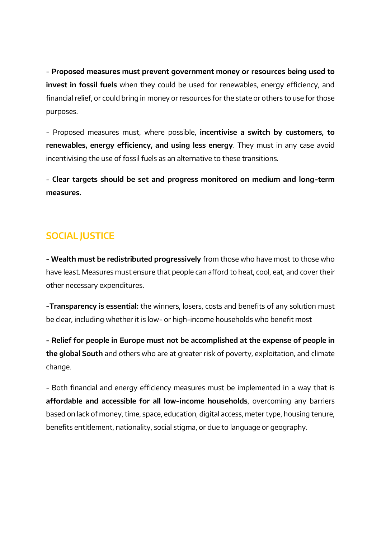- **Proposed measures must prevent government money or resources being used to invest in fossil fuels** when they could be used for renewables, energy efficiency, and financial relief, or could bring in money or resources for the state or others to use for those purposes.

- Proposed measures must, where possible, **incentivise a switch by customers, to renewables, energy efficiency, and using less energy**. They must in any case avoid incentivising the use of fossil fuels as an alternative to these transitions.

- **Clear targets should be set and progress monitored on medium and long-term measures.** 

# **SOCIAL JUSTICE**

**- Wealth must be redistributed progressively** from those who have most to those who have least. Measures must ensure that people can afford to heat, cool, eat, and cover their other necessary expenditures.

**-Transparency is essential:** the winners, losers, costs and benefits of any solution must be clear, including whether it is low- or high-income households who benefit most

**- Relief for people in Europe must not be accomplished at the expense of people in the global South** and others who are at greater risk of poverty, exploitation, and climate change.

- Both financial and energy efficiency measures must be implemented in a way that is **affordable and accessible for all low-income households**, overcoming any barriers based on lack of money, time, space, education, digital access, meter type, housing tenure, benefits entitlement, nationality, social stigma, or due to language or geography.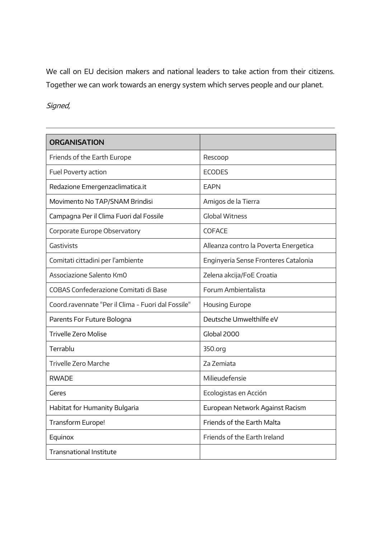We call on EU decision makers and national leaders to take action from their citizens. Together we can work towards an energy system which serves people and our planet.

### Signed,

| <b>ORGANISATION</b>                                |                                       |
|----------------------------------------------------|---------------------------------------|
| Friends of the Earth Europe                        | Rescoop                               |
| Fuel Poverty action                                | <b>ECODES</b>                         |
| Redazione Emergenzaclimatica.it                    | <b>FAPN</b>                           |
| Movimento No TAP/SNAM Brindisi                     | Amigos de la Tierra                   |
| Campagna Per il Clima Fuori dal Fossile            | <b>Global Witness</b>                 |
| Corporate Europe Observatory                       | COFACE                                |
| Gastivists                                         | Alleanza contro la Poverta Energetica |
| Comitati cittadini per l'ambiente                  | Enginyeria Sense Fronteres Catalonia  |
| Associazione Salento KmO                           | Zelena akcija/FoE Croatia             |
| COBAS Confederazione Comitati di Base              | Forum Ambientalista                   |
| Coord.ravennate "Per il Clima - Fuori dal Fossile" | <b>Housing Europe</b>                 |
| Parents For Future Bologna                         | Deutsche Umwelthilfe eV               |
| <b>Trivelle Zero Molise</b>                        | Global 2000                           |
| Terrablu                                           | 350.org                               |
| Trivelle Zero Marche                               | <b>Za Zemiata</b>                     |
| <b>RWADE</b>                                       | Milieudefensie                        |
| Geres                                              | Ecologistas en Acción                 |
| Habitat for Humanity Bulgaria                      | European Network Against Racism       |
| Transform Europe!                                  | <b>Friends of the Earth Malta</b>     |
| Equinox                                            | Friends of the Earth Ireland          |
| <b>Transnational Institute</b>                     |                                       |